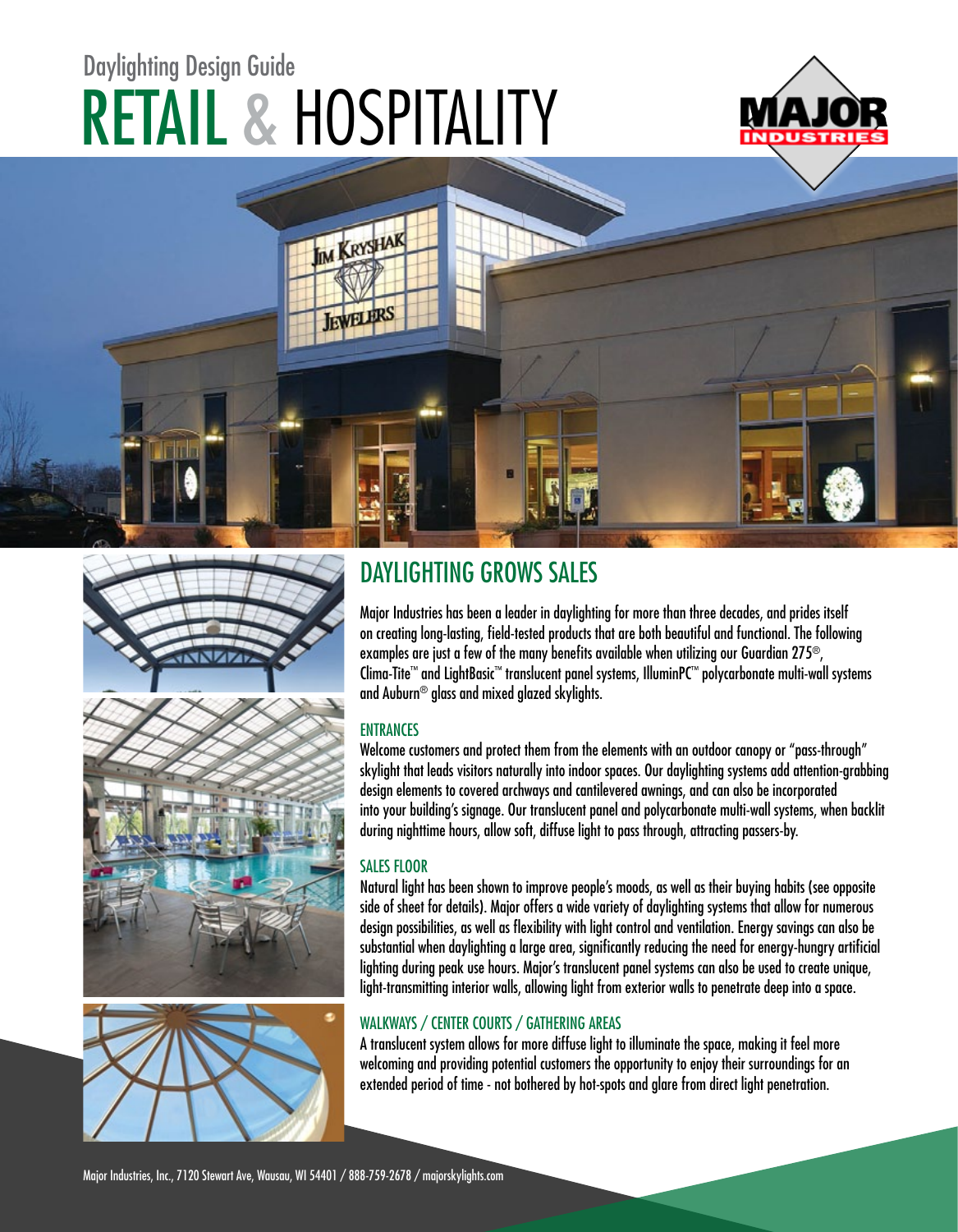# RETAIL & HOSPITALITY Daylighting Design Guide









### DAYLIGHTING GROWS SALES

Major Industries has been a leader in daylighting for more than three decades, and prides itself on creating long-lasting, field-tested products that are both beautiful and functional. The following examples are just a few of the many benefits available when utilizing our Guardian 275®, Clima-Tite™ and LightBasic™ translucent panel systems, IlluminPC™ polycarbonate multi-wall systems and Auburn $^{\circledR}$  alass and mixed alazed skyliahts.

#### **ENTRANCES**

Welcome customers and protect them from the elements with an outdoor canopy or "pass-through" skylight that leads visitors naturally into indoor spaces. Our daylighting systems add attention-grabbing design elements to covered archways and cantilevered awnings, and can also be incorporated into your building's signage. Our translucent panel and polycarbonate multi-wall systems, when backlit during nighttime hours, allow soft, diffuse light to pass through, attracting passers-by.

#### SALES FLOOR

Natural light has been shown to improve people's moods, as well as their buying habits (see opposite side of sheet for details). Major offers a wide variety of daylighting systems that allow for numerous design possibilities, as well as flexibility with light control and ventilation. Energy savings can also be substantial when daylighting a large area, significantly reducing the need for energy-hungry artificial lighting during peak use hours. Major's translucent panel systems can also be used to create unique, light-transmitting interior walls, allowing light from exterior walls to penetrate deep into a space.

#### WALKWAYS / CENTER COURTS / GATHERING AREAS

A translucent system allows for more diffuse light to illuminate the space, making it feel more welcoming and providing potential customers the opportunity to enjoy their surroundings for an extended period of time - not bothered by hot-spots and glare from direct light penetration.